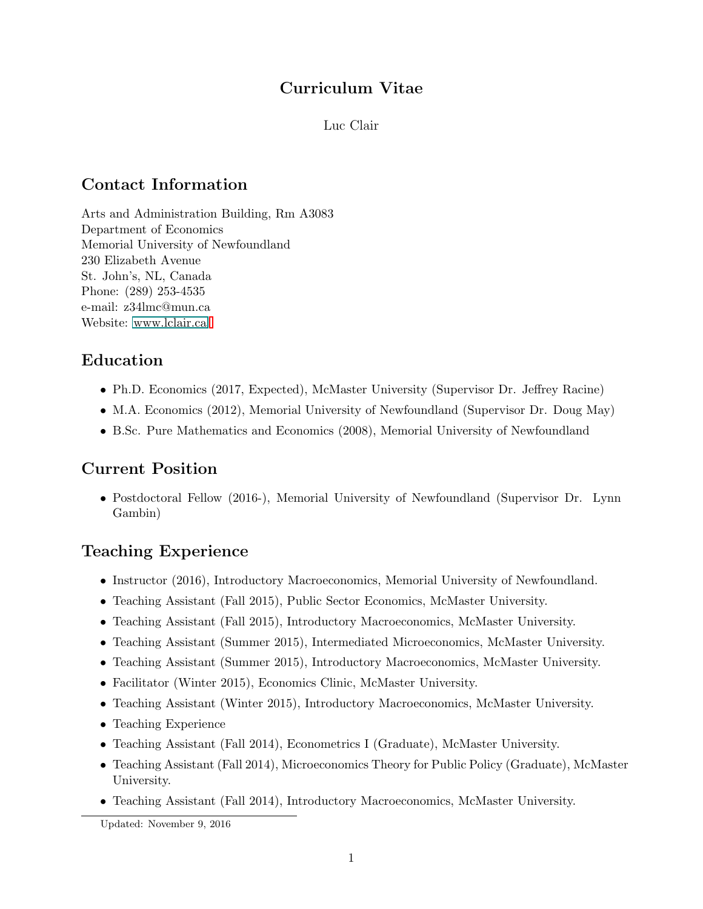### Curriculum Vitae

Luc Clair

# Contact Information

Arts and Administration Building, Rm A3083 Department of Economics Memorial University of Newfoundland 230 Elizabeth Avenue St. John's, NL, Canada Phone: (289) 253-4535 e-mail: z34lmc@mun.ca Website: www.lclair.ca

## Education

- Ph.D. Economics (2017, Expected), McMaster University (Supervisor Dr. Jeffrey Racine)
- M.A. Economics (2012), Memorial University of Newfoundland (Supervisor Dr. Doug May)
- B.Sc. Pure Mathematics and Economics (2008), Memorial University of Newfoundland

## Current Position

• Postdoctoral Fellow (2016-), Memorial University of Newfoundland (Supervisor Dr. Lynn Gambin)

# Teaching Experience

- Instructor (2016), Introductory Macroeconomics, Memorial University of Newfoundland.
- Teaching Assistant (Fall 2015), Public Sector Economics, McMaster University.
- Teaching Assistant (Fall 2015), Introductory Macroeconomics, McMaster University.
- Teaching Assistant (Summer 2015), Intermediated Microeconomics, McMaster University.
- Teaching Assistant (Summer 2015), Introductory Macroeconomics, McMaster University.
- Facilitator (Winter 2015), Economics Clinic, McMaster University.
- Teaching Assistant (Winter 2015), Introductory Macroeconomics, McMaster University.
- Teaching Experience
- Teaching Assistant (Fall 2014), Econometrics I (Graduate), McMaster University.
- Teaching Assistant (Fall 2014), Microeconomics Theory for Public Policy (Graduate), McMaster University.
- Teaching Assistant (Fall 2014), Introductory Macroeconomics, McMaster University.

Updated: November 9, 2016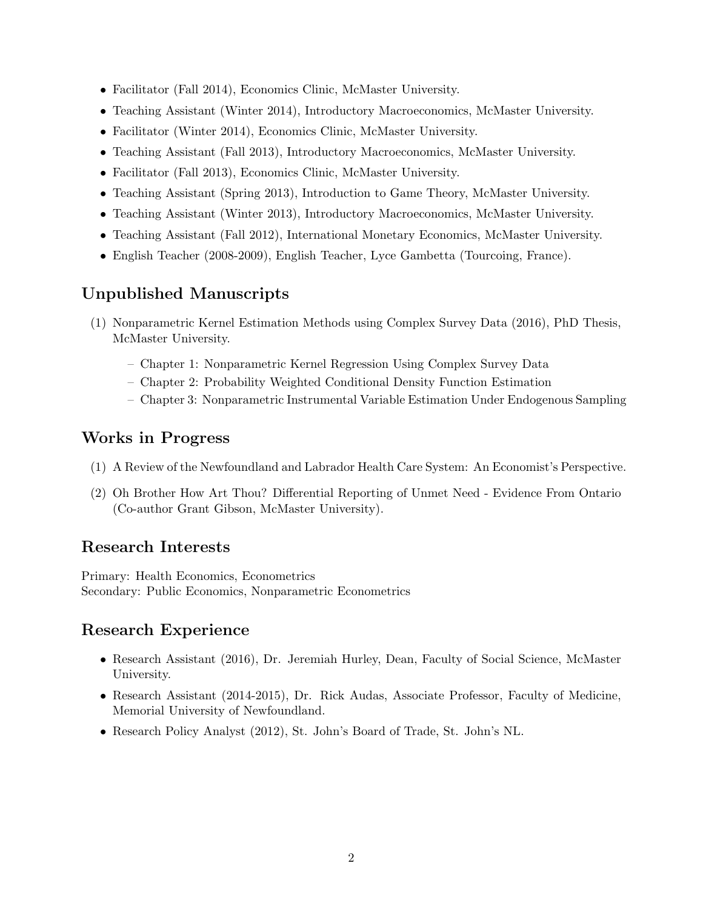- Facilitator (Fall 2014), Economics Clinic, McMaster University.
- Teaching Assistant (Winter 2014), Introductory Macroeconomics, McMaster University.
- Facilitator (Winter 2014), Economics Clinic, McMaster University.
- Teaching Assistant (Fall 2013), Introductory Macroeconomics, McMaster University.
- Facilitator (Fall 2013), Economics Clinic, McMaster University.
- Teaching Assistant (Spring 2013), Introduction to Game Theory, McMaster University.
- Teaching Assistant (Winter 2013), Introductory Macroeconomics, McMaster University.
- Teaching Assistant (Fall 2012), International Monetary Economics, McMaster University.
- English Teacher (2008-2009), English Teacher, Lyce Gambetta (Tourcoing, France).

### Unpublished Manuscripts

- (1) Nonparametric Kernel Estimation Methods using Complex Survey Data (2016), PhD Thesis, McMaster University.
	- Chapter 1: Nonparametric Kernel Regression Using Complex Survey Data
	- Chapter 2: Probability Weighted Conditional Density Function Estimation
	- Chapter 3: Nonparametric Instrumental Variable Estimation Under Endogenous Sampling

### Works in Progress

- (1) A Review of the Newfoundland and Labrador Health Care System: An Economist's Perspective.
- (2) Oh Brother How Art Thou? Differential Reporting of Unmet Need Evidence From Ontario (Co-author Grant Gibson, McMaster University).

#### Research Interests

Primary: Health Economics, Econometrics Secondary: Public Economics, Nonparametric Econometrics

## Research Experience

- Research Assistant (2016), Dr. Jeremiah Hurley, Dean, Faculty of Social Science, McMaster University.
- Research Assistant (2014-2015), Dr. Rick Audas, Associate Professor, Faculty of Medicine, Memorial University of Newfoundland.
- Research Policy Analyst (2012), St. John's Board of Trade, St. John's NL.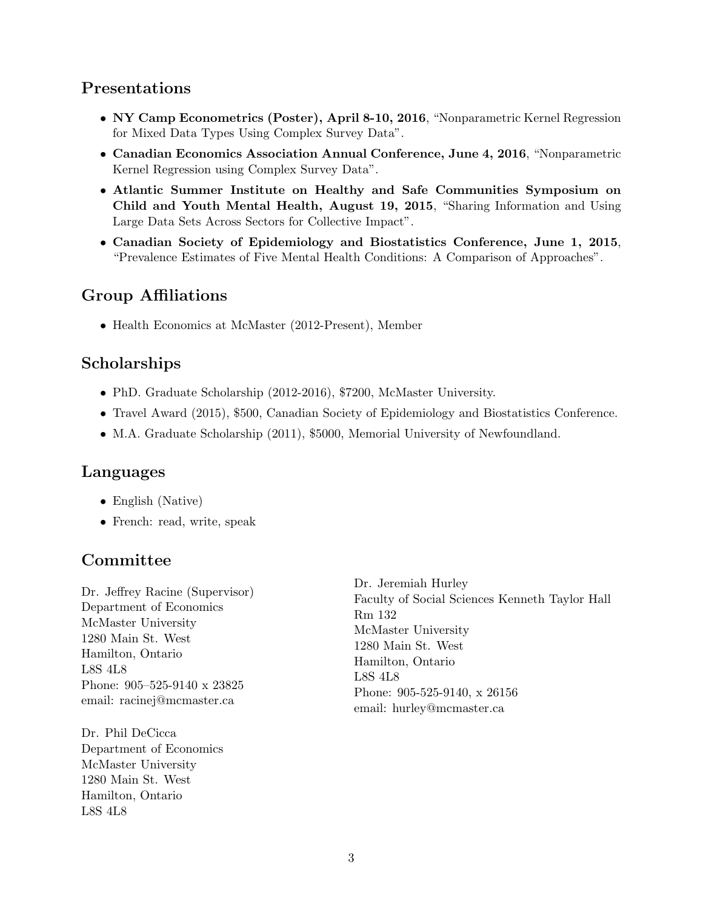#### Presentations

- NY Camp Econometrics (Poster), April 8-10, 2016, "Nonparametric Kernel Regression for Mixed Data Types Using Complex Survey Data".
- Canadian Economics Association Annual Conference, June 4, 2016, "Nonparametric Kernel Regression using Complex Survey Data".
- Atlantic Summer Institute on Healthy and Safe Communities Symposium on Child and Youth Mental Health, August 19, 2015, "Sharing Information and Using Large Data Sets Across Sectors for Collective Impact".
- Canadian Society of Epidemiology and Biostatistics Conference, June 1, 2015, "Prevalence Estimates of Five Mental Health Conditions: A Comparison of Approaches".

# Group Affiliations

• Health Economics at McMaster (2012-Present), Member

## Scholarships

- PhD. Graduate Scholarship (2012-2016), \$7200, McMaster University.
- Travel Award (2015), \$500, Canadian Society of Epidemiology and Biostatistics Conference.
- M.A. Graduate Scholarship (2011), \$5000, Memorial University of Newfoundland.

#### Languages

- English (Native)
- French: read, write, speak

## Committee

Dr. Jeffrey Racine (Supervisor) Department of Economics McMaster University 1280 Main St. West Hamilton, Ontario L8S 4L8 Phone: 905–525-9140 x 23825 email: racinej@mcmaster.ca

Dr. Phil DeCicca Department of Economics McMaster University 1280 Main St. West Hamilton, Ontario L8S 4L8

Dr. Jeremiah Hurley Faculty of Social Sciences Kenneth Taylor Hall Rm 132 McMaster University 1280 Main St. West Hamilton, Ontario L8S 4L8 Phone: 905-525-9140, x 26156 email: hurley@mcmaster.ca